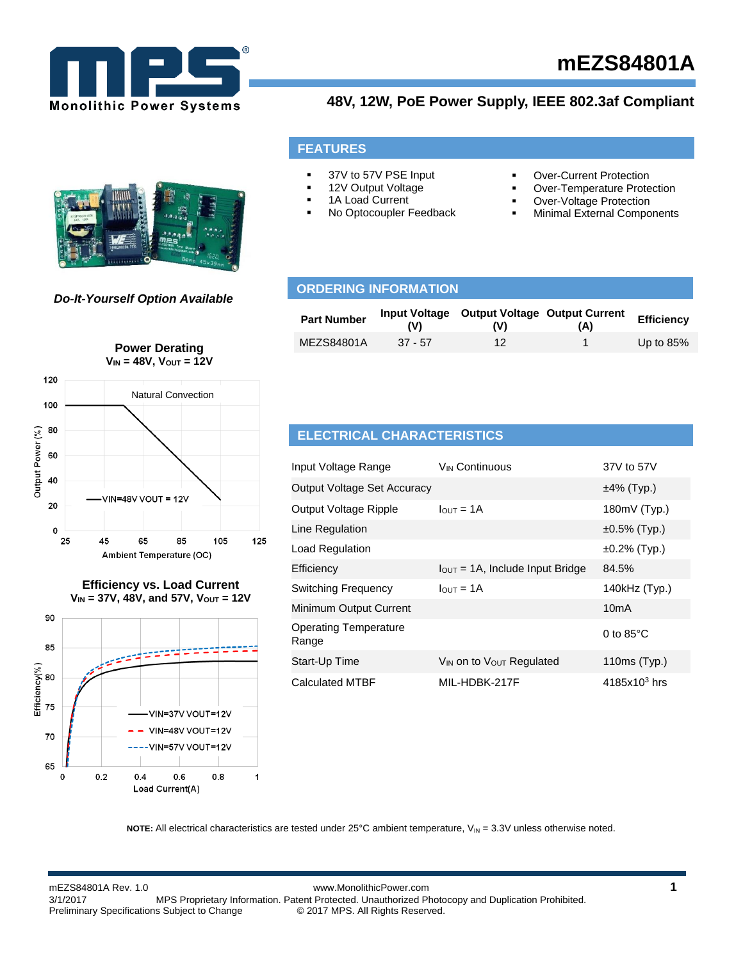

# **mEZS84801A**

 Over-Current Protection Over-Temperature Protection Over-Voltage Protection Minimal External Components

### **48V, 12W, PoE Power Supply, IEEE 802.3af Compliant**

#### *Do-It-Yourself Option Available*

#### **Part Number** *Input Voltage* Output Voltage Output Current **(V) (V) (A) Efficiency**  MEZS84801A 37 - 57 12 1 Up to 85% **ORDERING INFORMATION**



#### **Efficiency vs. Load Current VIN = 37V, 48V, and 57V, VOUT = 12V**



#### **ELECTRICAL CHARACTERISTICS**

**FEATURES**

 37V to 57V PSE Input 12V Output Voltage 1A Load Current

No Optocoupler Feedback

| Input Voltage Range                   | V <sub>IN</sub> Continuous                   | 37V to 57V          |
|---------------------------------------|----------------------------------------------|---------------------|
| <b>Output Voltage Set Accuracy</b>    |                                              | $±4\%$ (Typ.)       |
| Output Voltage Ripple                 | $IQUT = 1A$                                  | 180mV (Typ.)        |
| Line Regulation                       |                                              | $±0.5\%$ (Typ.)     |
| Load Regulation                       |                                              | $±0.2\%$ (Typ.)     |
| Efficiency                            | $I_{\text{OUT}} = 1$ A, Include Input Bridge | 84.5%               |
| <b>Switching Frequency</b>            | $I$ <sub>OUT</sub> = 1A                      | 140kHz (Typ.)       |
| Minimum Output Current                |                                              | 10 <sub>m</sub> A   |
| <b>Operating Temperature</b><br>Range |                                              | 0 to $85^{\circ}$ C |
| Start-Up Time                         | $V_{IN}$ on to $V_{OUT}$ Regulated           | 110ms (Typ.)        |
| <b>Calculated MTBF</b>                | MIL-HDBK-217F                                | $4185x10^3$ hrs     |

**NOTE:** All electrical characteristics are tested under  $25^{\circ}$ C ambient temperature,  $V_{IN} = 3.3V$  unless otherwise noted.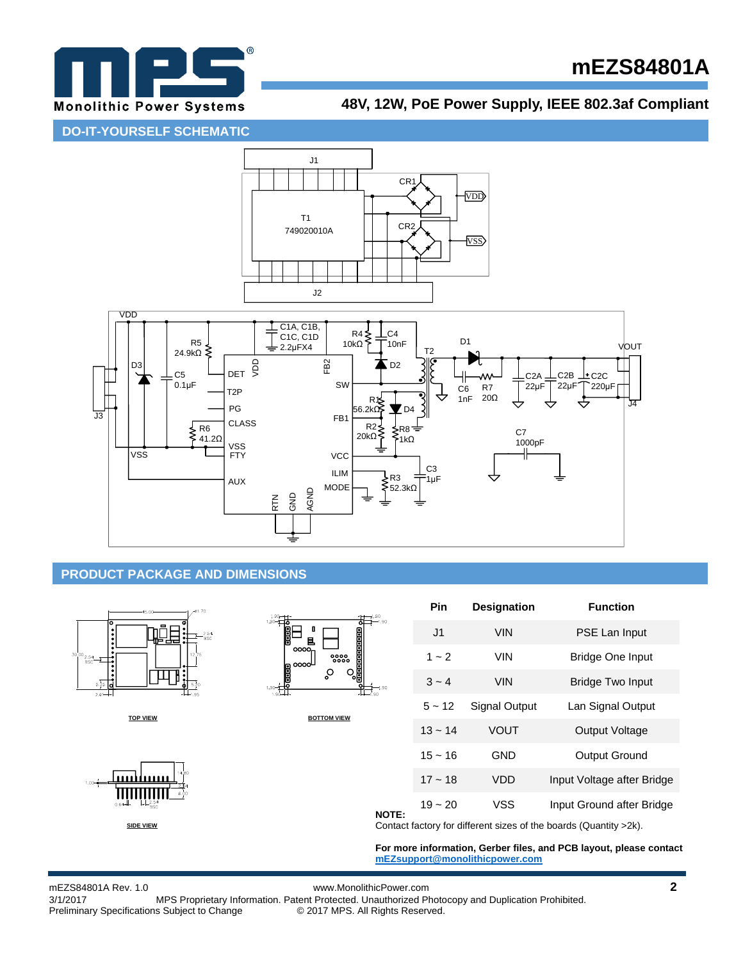

# **mEZS84801A**

## **48V, 12W, PoE Power Supply, IEEE 802.3af Compliant**

**DO-IT-YOURSELF SCHEMATIC**



#### **PRODUCT PACKAGE AND DIMENSIONS**



mEZS84801A Rev. 1.0 www.MonolithicPower.com **2** MPS Proprietary Information. Patent Protected. Unauthorized Photocopy and Duplication Prohibited.